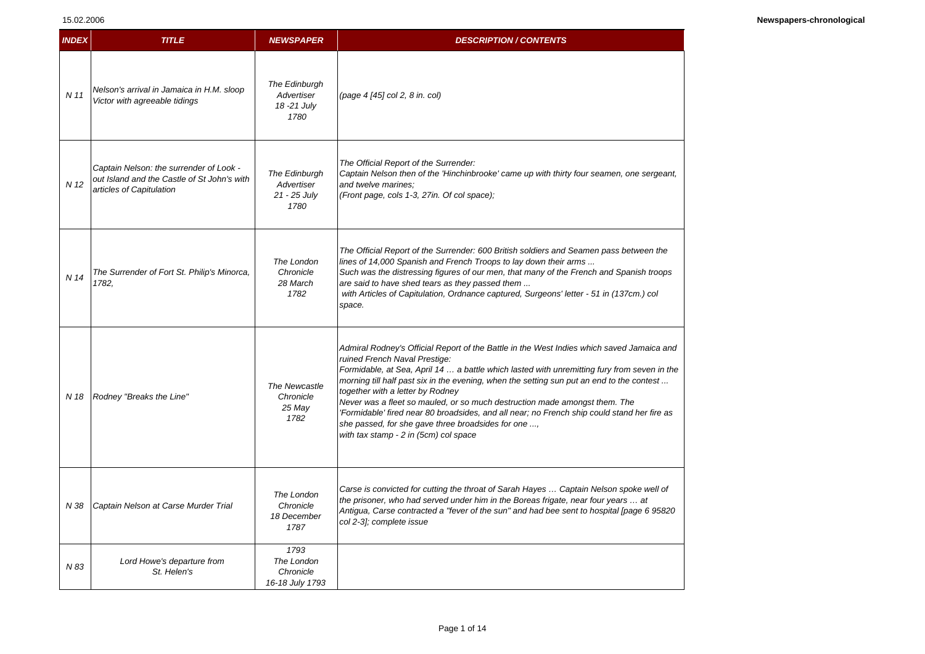## 15.02.2006

| <b>INDEX</b> | <b>TITLE</b>                                                                                                       | <b>NEWSPAPER</b>                                    | <b>DESCRIPTION / CONTENTS</b>                                                                                                                                                                                                                                                                                                                                                                                                                                                                                                                                                                                                           |
|--------------|--------------------------------------------------------------------------------------------------------------------|-----------------------------------------------------|-----------------------------------------------------------------------------------------------------------------------------------------------------------------------------------------------------------------------------------------------------------------------------------------------------------------------------------------------------------------------------------------------------------------------------------------------------------------------------------------------------------------------------------------------------------------------------------------------------------------------------------------|
| N 11         | Nelson's arrival in Jamaica in H.M. sloop<br>Victor with agreeable tidings                                         | The Edinburgh<br>Advertiser<br>18 - 21 July<br>1780 | (page 4 [45] col 2, 8 in. col)                                                                                                                                                                                                                                                                                                                                                                                                                                                                                                                                                                                                          |
| N 12         | Captain Nelson: the surrender of Look -<br>out Island and the Castle of St John's with<br>articles of Capitulation | The Edinburgh<br>Advertiser<br>21 - 25 July<br>1780 | The Official Report of the Surrender:<br>Captain Nelson then of the 'Hinchinbrooke' came up with thirty four seamen, one sergeant,<br>and twelve marines:<br>(Front page, cols 1-3, 27in. Of col space);                                                                                                                                                                                                                                                                                                                                                                                                                                |
| N 14         | The Surrender of Fort St. Philip's Minorca,<br>1782.                                                               | The London<br>Chronicle<br>28 March<br>1782         | The Official Report of the Surrender: 600 British soldiers and Seamen pass between the<br>lines of 14,000 Spanish and French Troops to lay down their arms<br>Such was the distressing figures of our men, that many of the French and Spanish troops<br>are said to have shed tears as they passed them<br>with Articles of Capitulation, Ordnance captured, Surgeons' letter - 51 in (137cm.) col<br>space.                                                                                                                                                                                                                           |
| N 18         | Rodney "Breaks the Line"                                                                                           | The Newcastle<br>Chronicle<br>25 May<br>1782        | Admiral Rodney's Official Report of the Battle in the West Indies which saved Jamaica and<br>ruined French Naval Prestige:<br>Formidable, at Sea, April 14  a battle which lasted with unremitting fury from seven in the<br>morning till half past six in the evening, when the setting sun put an end to the contest<br>together with a letter by Rodney<br>Never was a fleet so mauled, or so much destruction made amongst them. The<br>'Formidable' fired near 80 broadsides, and all near; no French ship could stand her fire as<br>she passed, for she gave three broadsides for one ,<br>with tax stamp - 2 in (5cm) col space |
| N 38         | Captain Nelson at Carse Murder Trial                                                                               | The London<br>Chronicle<br>18 December<br>1787      | Carse is convicted for cutting the throat of Sarah Hayes  Captain Nelson spoke well of<br>the prisoner, who had served under him in the Boreas frigate, near four years  at<br>Antigua, Carse contracted a "fever of the sun" and had bee sent to hospital [page 6 95820<br>col 2-3]; complete issue                                                                                                                                                                                                                                                                                                                                    |
| N 83         | Lord Howe's departure from<br>St. Helen's                                                                          | 1793<br>The London<br>Chronicle<br>16-18 July 1793  |                                                                                                                                                                                                                                                                                                                                                                                                                                                                                                                                                                                                                                         |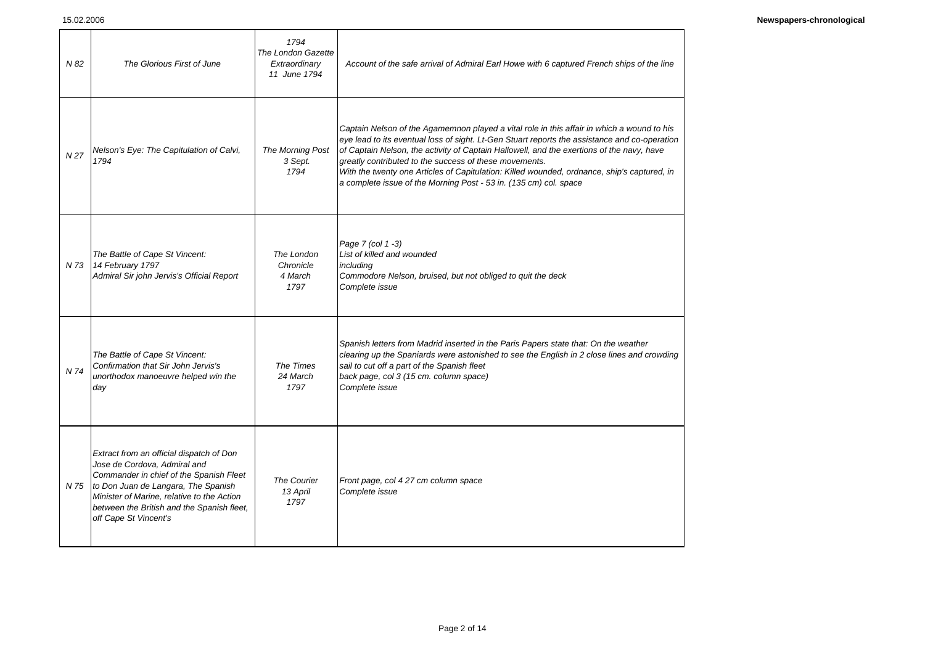| N 82 | The Glorious First of June                                                                                                                                                                                                                                                           | 1794<br>The London Gazette<br>Extraordinary<br>11 June 1794 | Account of the safe arrival of Admiral Earl Howe with 6 captured French ships of the line                                                                                                                                                                                                                                                                                                                                                                                                                              |
|------|--------------------------------------------------------------------------------------------------------------------------------------------------------------------------------------------------------------------------------------------------------------------------------------|-------------------------------------------------------------|------------------------------------------------------------------------------------------------------------------------------------------------------------------------------------------------------------------------------------------------------------------------------------------------------------------------------------------------------------------------------------------------------------------------------------------------------------------------------------------------------------------------|
| N 27 | Nelson's Eye: The Capitulation of Calvi,<br>1794                                                                                                                                                                                                                                     | The Morning Post<br>3 Sept.<br>1794                         | Captain Nelson of the Agamemnon played a vital role in this affair in which a wound to his<br>eye lead to its eventual loss of sight. Lt-Gen Stuart reports the assistance and co-operation<br>of Captain Nelson, the activity of Captain Hallowell, and the exertions of the navy, have<br>greatly contributed to the success of these movements.<br>With the twenty one Articles of Capitulation: Killed wounded, ordnance, ship's captured, in<br>a complete issue of the Morning Post - 53 in. (135 cm) col. space |
| N 73 | The Battle of Cape St Vincent:<br>14 February 1797<br>Admiral Sir john Jervis's Official Report                                                                                                                                                                                      | The London<br>Chronicle<br>4 March<br>1797                  | Page 7 (col 1 -3)<br>List of killed and wounded<br>includina<br>Commodore Nelson, bruised, but not obliged to quit the deck<br>Complete issue                                                                                                                                                                                                                                                                                                                                                                          |
| N 74 | The Battle of Cape St Vincent:<br>Confirmation that Sir John Jervis's<br>unorthodox manoeuvre helped win the<br>day                                                                                                                                                                  | The Times<br>24 March<br>1797                               | Spanish letters from Madrid inserted in the Paris Papers state that: On the weather<br>clearing up the Spaniards were astonished to see the English in 2 close lines and crowding<br>sail to cut off a part of the Spanish fleet<br>back page, col 3 (15 cm. column space)<br>Complete issue                                                                                                                                                                                                                           |
|      | Extract from an official dispatch of Don<br>Jose de Cordova, Admiral and<br>Commander in chief of the Spanish Fleet<br>N 75 to Don Juan de Langara, The Spanish<br>Minister of Marine, relative to the Action<br>between the British and the Spanish fleet,<br>off Cape St Vincent's | <b>The Courier</b><br>13 April<br>1797                      | Front page, col 4 27 cm column space<br>Complete issue                                                                                                                                                                                                                                                                                                                                                                                                                                                                 |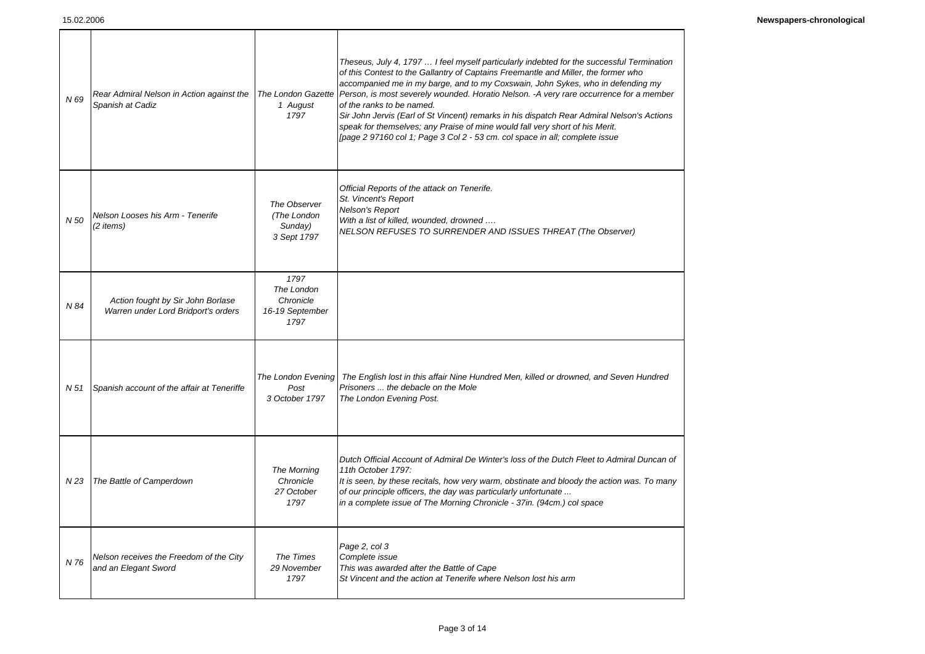| N 69 | Rear Admiral Nelson in Action against the<br>Spanish at Cadiz            | The London Gazette<br>1 August<br>1797                     | Theseus, July 4, 1797  I feel myself particularly indebted for the successful Termination<br>of this Contest to the Gallantry of Captains Freemantle and Miller, the former who<br>accompanied me in my barge, and to my Coxswain, John Sykes, who in defending my<br>Person, is most severely wounded. Horatio Nelson. -A very rare occurrence for a member<br>of the ranks to be named.<br>Sir John Jervis (Earl of St Vincent) remarks in his dispatch Rear Admiral Nelson's Actions<br>speak for themselves; any Praise of mine would fall very short of his Merit.<br>[page 2 97160 col 1; Page 3 Col 2 - 53 cm. col space in all; complete issue |
|------|--------------------------------------------------------------------------|------------------------------------------------------------|--------------------------------------------------------------------------------------------------------------------------------------------------------------------------------------------------------------------------------------------------------------------------------------------------------------------------------------------------------------------------------------------------------------------------------------------------------------------------------------------------------------------------------------------------------------------------------------------------------------------------------------------------------|
| N 50 | Nelson Looses his Arm - Tenerife<br>(2 items)                            | The Observer<br>(The London<br>Sunday)<br>3 Sept 1797      | Official Reports of the attack on Tenerife.<br>St. Vincent's Report<br>Nelson's Report<br>With a list of killed, wounded, drowned<br><b>NELSON REFUSES TO SURRENDER AND ISSUES THREAT (The Observer)</b>                                                                                                                                                                                                                                                                                                                                                                                                                                               |
| N 84 | Action fought by Sir John Borlase<br>Warren under Lord Bridport's orders | 1797<br>The London<br>Chronicle<br>16-19 September<br>1797 |                                                                                                                                                                                                                                                                                                                                                                                                                                                                                                                                                                                                                                                        |
| N 51 | Spanish account of the affair at Teneriffe                               | The London Evening<br>Post<br>3 October 1797               | The English lost in this affair Nine Hundred Men, killed or drowned, and Seven Hundred<br>Prisoners  the debacle on the Mole<br>The London Evening Post.                                                                                                                                                                                                                                                                                                                                                                                                                                                                                               |
| N 23 | The Battle of Camperdown                                                 | The Morning<br>Chronicle<br>27 October<br>1797             | Dutch Official Account of Admiral De Winter's loss of the Dutch Fleet to Admiral Duncan of<br>11th October 1797:<br>It is seen, by these recitals, how very warm, obstinate and bloody the action was. To many<br>of our principle officers, the day was particularly unfortunate<br>in a complete issue of The Morning Chronicle - 37in. (94cm.) col space                                                                                                                                                                                                                                                                                            |
| N 76 | Nelson receives the Freedom of the City<br>and an Elegant Sword          | The Times<br>29 November<br>1797                           | Page 2, col 3<br>Complete issue<br>This was awarded after the Battle of Cape<br>St Vincent and the action at Tenerife where Nelson lost his arm                                                                                                                                                                                                                                                                                                                                                                                                                                                                                                        |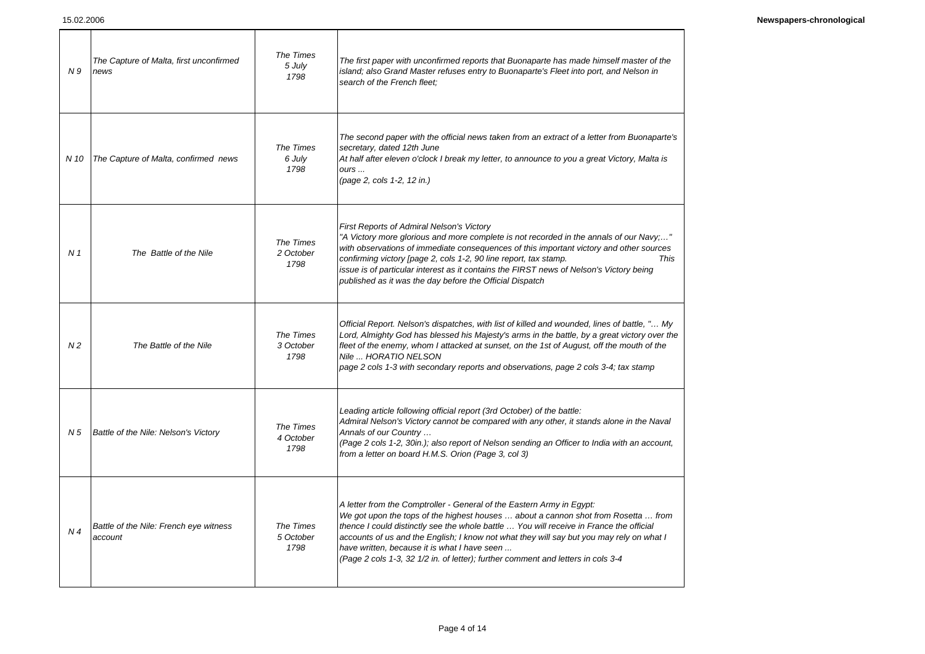| N9             | The Capture of Malta, first unconfirmed<br>news   | The Times<br>5 July<br>1798    | The first paper with unconfirmed reports that Buonaparte has made himself master of the<br>island; also Grand Master refuses entry to Buonaparte's Fleet into port, and Nelson in<br>search of the French fleet:                                                                                                                                                                                                                                                                       |
|----------------|---------------------------------------------------|--------------------------------|----------------------------------------------------------------------------------------------------------------------------------------------------------------------------------------------------------------------------------------------------------------------------------------------------------------------------------------------------------------------------------------------------------------------------------------------------------------------------------------|
| N 10           | The Capture of Malta, confirmed news              | The Times<br>6 July<br>1798    | The second paper with the official news taken from an extract of a letter from Buonaparte's<br>secretary, dated 12th June<br>At half after eleven o'clock I break my letter, to announce to you a great Victory, Malta is<br>ours<br>(page 2, cols 1-2, 12 in.)                                                                                                                                                                                                                        |
| N <sub>1</sub> | The Battle of the Nile                            | The Times<br>2 October<br>1798 | First Reports of Admiral Nelson's Victory<br>"A Victory more glorious and more complete is not recorded in the annals of our Navy;"<br>with observations of immediate consequences of this important victory and other sources<br>confirming victory [page 2, cols 1-2, 90 line report, tax stamp.<br>This<br>issue is of particular interest as it contains the FIRST news of Nelson's Victory being<br>published as it was the day before the Official Dispatch                      |
| N <sub>2</sub> | The Battle of the Nile                            | The Times<br>3 October<br>1798 | Official Report. Nelson's dispatches, with list of killed and wounded, lines of battle, " My<br>Lord, Almighty God has blessed his Majesty's arms in the battle, by a great victory over the<br>fleet of the enemy, whom I attacked at sunset, on the 1st of August, off the mouth of the<br>Nile  HORATIO NELSON<br>page 2 cols 1-3 with secondary reports and observations, page 2 cols 3-4; tax stamp                                                                               |
| N 5            | Battle of the Nile: Nelson's Victory              | The Times<br>4 October<br>1798 | Leading article following official report (3rd October) of the battle:<br>Admiral Nelson's Victory cannot be compared with any other, it stands alone in the Naval<br>Annals of our Country<br>(Page 2 cols 1-2, 30in.); also report of Nelson sending an Officer to India with an account,<br>from a letter on board H.M.S. Orion (Page 3, col 3)                                                                                                                                     |
| N <sub>4</sub> | Battle of the Nile: French eye witness<br>account | The Times<br>5 October<br>1798 | A letter from the Comptroller - General of the Eastern Army in Egypt:<br>We got upon the tops of the highest houses  about a cannon shot from Rosetta  from<br>thence I could distinctly see the whole battle  You will receive in France the official<br>accounts of us and the English; I know not what they will say but you may rely on what I<br>have written, because it is what I have seen<br>(Page 2 cols 1-3, 32 1/2 in. of letter); further comment and letters in cols 3-4 |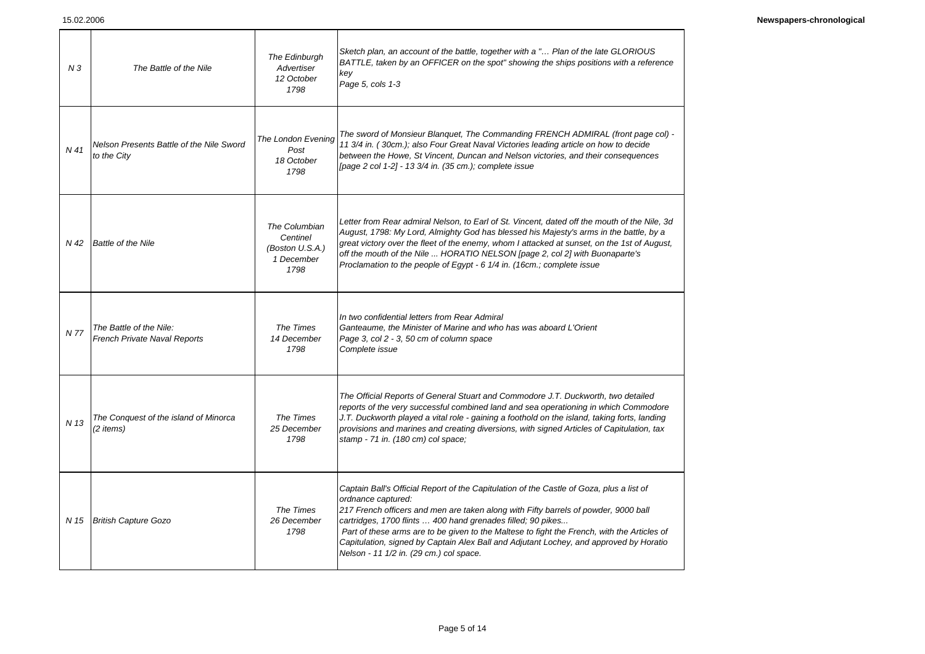| N <sub>3</sub>  | The Battle of the Nile                                         | The Edinburgh<br>Advertiser<br>12 October<br>1798                  | Sketch plan, an account of the battle, together with a " Plan of the late GLORIOUS<br>BATTLE, taken by an OFFICER on the spot" showing the ships positions with a reference<br>key<br>Page 5, cols 1-3                                                                                                                                                                                                                                                                                                   |
|-----------------|----------------------------------------------------------------|--------------------------------------------------------------------|----------------------------------------------------------------------------------------------------------------------------------------------------------------------------------------------------------------------------------------------------------------------------------------------------------------------------------------------------------------------------------------------------------------------------------------------------------------------------------------------------------|
| N <sub>41</sub> | Nelson Presents Battle of the Nile Sword<br>to the City        | <b>The London Evening</b><br>Post<br>18 October<br>1798            | The sword of Monsieur Blanquet, The Commanding FRENCH ADMIRAL (front page col) -<br>11 3/4 in. (30cm.); also Four Great Naval Victories leading article on how to decide<br>between the Howe, St Vincent, Duncan and Nelson victories, and their consequences<br>[page 2 col 1-2] - 13 3/4 in. (35 cm.); complete issue                                                                                                                                                                                  |
| N 42            | <b>Battle of the Nile</b>                                      | The Columbian<br>Centinel<br>(Boston U.S.A.)<br>1 December<br>1798 | Letter from Rear admiral Nelson, to Earl of St. Vincent, dated off the mouth of the Nile, 3d<br>August, 1798: My Lord, Almighty God has blessed his Majesty's arms in the battle, by a<br>great victory over the fleet of the enemy, whom I attacked at sunset, on the 1st of August,<br>off the mouth of the Nile  HORATIO NELSON [page 2, col 2] with Buonaparte's<br>Proclamation to the people of Egypt - 6 1/4 in. (16cm.; complete issue                                                           |
| N 77            | The Battle of the Nile:<br><b>French Private Naval Reports</b> | The Times<br>14 December<br>1798                                   | In two confidential letters from Rear Admiral<br>Ganteaume, the Minister of Marine and who has was aboard L'Orient<br>Page 3, col 2 - 3, 50 cm of column space<br>Complete issue                                                                                                                                                                                                                                                                                                                         |
| N 13            | The Conquest of the island of Minorca<br>(2 items)             | The Times<br>25 December<br>1798                                   | The Official Reports of General Stuart and Commodore J.T. Duckworth, two detailed<br>reports of the very successful combined land and sea operationing in which Commodore<br>J.T. Duckworth played a vital role - gaining a foothold on the island, taking forts, landing<br>provisions and marines and creating diversions, with signed Articles of Capitulation, tax<br>stamp - 71 in. (180 cm) col space;                                                                                             |
|                 | N 15 British Capture Gozo                                      | The Times<br>26 December<br>1798                                   | Captain Ball's Official Report of the Capitulation of the Castle of Goza, plus a list of<br>ordnance captured:<br>217 French officers and men are taken along with Fifty barrels of powder, 9000 ball<br>cartridges, 1700 flints  400 hand grenades filled; 90 pikes<br>Part of these arms are to be given to the Maltese to fight the French, with the Articles of<br>Capitulation, signed by Captain Alex Ball and Adjutant Lochey, and approved by Horatio<br>Nelson - 11 1/2 in. (29 cm.) col space. |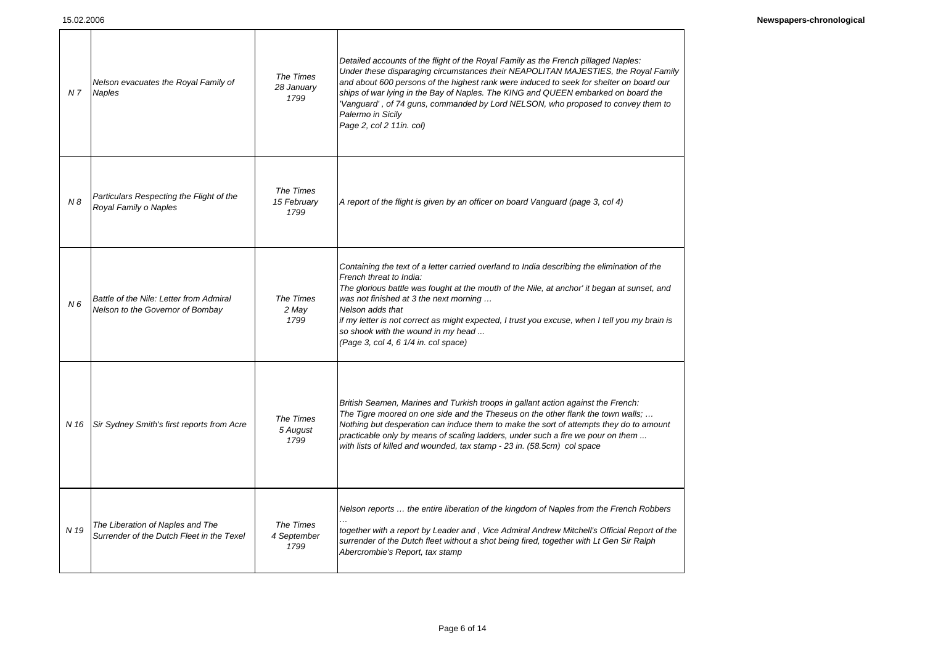| N <sub>7</sub> | Nelson evacuates the Royal Family of<br><b>Naples</b>                         | The Times<br>28 January<br>1799  | Detailed accounts of the flight of the Royal Family as the French pillaged Naples:<br>Under these disparaging circumstances their NEAPOLITAN MAJESTIES, the Royal Family<br>and about 600 persons of the highest rank were induced to seek for shelter on board our<br>ships of war lying in the Bay of Naples. The KING and QUEEN embarked on board the<br>'Vanguard', of 74 guns, commanded by Lord NELSON, who proposed to convey them to<br>Palermo in Sicily<br>Page 2, col 2 11in. col) |
|----------------|-------------------------------------------------------------------------------|----------------------------------|-----------------------------------------------------------------------------------------------------------------------------------------------------------------------------------------------------------------------------------------------------------------------------------------------------------------------------------------------------------------------------------------------------------------------------------------------------------------------------------------------|
| N8             | Particulars Respecting the Flight of the<br>Royal Family o Naples             | The Times<br>15 February<br>1799 | A report of the flight is given by an officer on board Vanguard (page 3, col 4)                                                                                                                                                                                                                                                                                                                                                                                                               |
| N <sub>6</sub> | Battle of the Nile: Letter from Admiral<br>Nelson to the Governor of Bombay   | The Times<br>2 May<br>1799       | Containing the text of a letter carried overland to India describing the elimination of the<br>French threat to India:<br>The glorious battle was fought at the mouth of the Nile, at anchor' it began at sunset, and<br>was not finished at 3 the next morning<br>Nelson adds that<br>if my letter is not correct as might expected, I trust you excuse, when I tell you my brain is<br>so shook with the wound in my head<br>(Page 3, col 4, 6 1/4 in. col space)                           |
| N 16           | Sir Sydney Smith's first reports from Acre                                    | The Times<br>5 August<br>1799    | British Seamen, Marines and Turkish troops in gallant action against the French:<br>The Tigre moored on one side and the Theseus on the other flank the town walls;<br>Nothing but desperation can induce them to make the sort of attempts they do to amount<br>practicable only by means of scaling ladders, under such a fire we pour on them<br>with lists of killed and wounded, tax stamp - 23 in. (58.5cm) col space                                                                   |
| N 19           | The Liberation of Naples and The<br>Surrender of the Dutch Fleet in the Texel | The Times<br>4 September<br>1799 | Nelson reports  the entire liberation of the kingdom of Naples from the French Robbers<br>together with a report by Leader and , Vice Admiral Andrew Mitchell's Official Report of the<br>surrender of the Dutch fleet without a shot being fired, together with Lt Gen Sir Ralph<br>Abercrombie's Report, tax stamp                                                                                                                                                                          |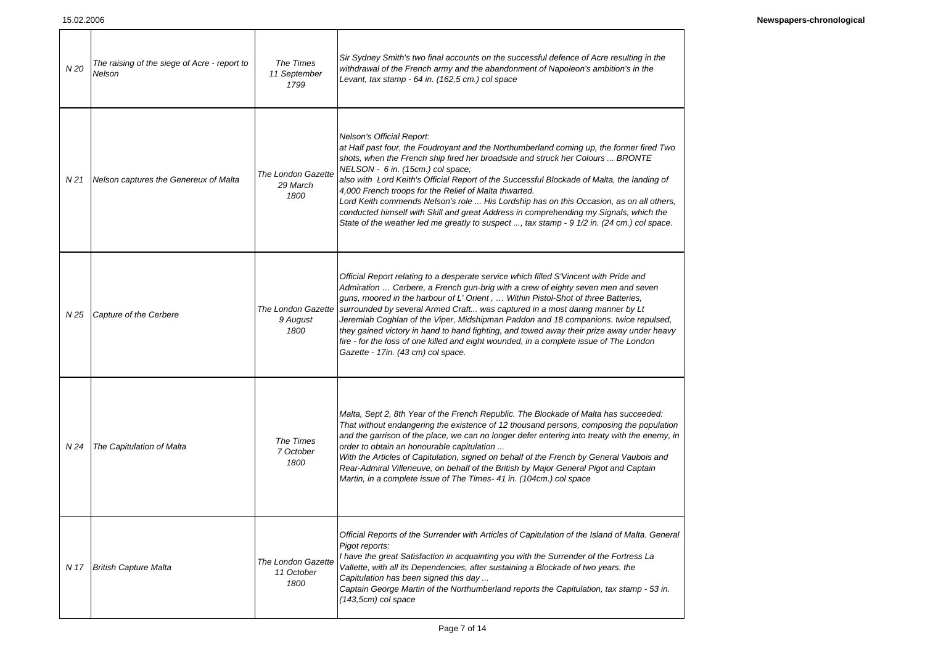| N 20 | The raising of the siege of Acre - report to<br>Nelson | The Times<br>11 September<br>1799        | Sir Sydney Smith's two final accounts on the successful defence of Acre resulting in the<br>withdrawal of the French army and the abandonment of Napoleon's ambition's in the<br>Levant, tax stamp - 64 in. (162,5 cm.) col space                                                                                                                                                                                                                                                                                                                                                                                                                                                       |
|------|--------------------------------------------------------|------------------------------------------|-----------------------------------------------------------------------------------------------------------------------------------------------------------------------------------------------------------------------------------------------------------------------------------------------------------------------------------------------------------------------------------------------------------------------------------------------------------------------------------------------------------------------------------------------------------------------------------------------------------------------------------------------------------------------------------------|
| N 21 | Nelson captures the Genereux of Malta                  | The London Gazette<br>29 March<br>1800   | Nelson's Official Report:<br>at Half past four, the Foudroyant and the Northumberland coming up, the former fired Two<br>shots, when the French ship fired her broadside and struck her Colours  BRONTE<br>NELSON - 6 in. (15cm.) col space;<br>also with Lord Keith's Official Report of the Successful Blockade of Malta, the landing of<br>4,000 French troops for the Relief of Malta thwarted.<br>Lord Keith commends Nelson's role  His Lordship has on this Occasion, as on all others,<br>conducted himself with Skill and great Address in comprehending my Signals, which the<br>State of the weather led me greatly to suspect , tax stamp - 9 1/2 in. (24 cm.) col space.   |
| N 25 | Capture of the Cerbere                                 | 9 August<br>1800                         | Official Report relating to a desperate service which filled S'Vincent with Pride and<br>Admiration  Cerbere, a French gun-brig with a crew of eighty seven men and seven<br>guns, moored in the harbour of L' Orient,  Within Pistol-Shot of three Batteries,<br>The London Gazette   surrounded by several Armed Craft was captured in a most daring manner by Lt<br>Jeremiah Coghlan of the Viper, Midshipman Paddon and 18 companions. twice repulsed,<br>they gained victory in hand to hand fighting, and towed away their prize away under heavy<br>fire - for the loss of one killed and eight wounded, in a complete issue of The London<br>Gazette - 17in. (43 cm) col space. |
| N 24 | The Capitulation of Malta                              | The Times<br>7 October<br>1800           | Malta, Sept 2, 8th Year of the French Republic. The Blockade of Malta has succeeded:<br>That without endangering the existence of 12 thousand persons, composing the population<br>and the garrison of the place, we can no longer defer entering into treaty with the enemy, in<br>order to obtain an honourable capitulation<br>With the Articles of Capitulation, signed on behalf of the French by General Vaubois and<br>Rear-Admiral Villeneuve, on behalf of the British by Major General Pigot and Captain<br>Martin, in a complete issue of The Times- 41 in. (104cm.) col space                                                                                               |
| N 17 | <b>British Capture Malta</b>                           | The London Gazette<br>11 October<br>1800 | Official Reports of the Surrender with Articles of Capitulation of the Island of Malta. General<br>Pigot reports:<br>I have the great Satisfaction in acquainting you with the Surrender of the Fortress La<br>Vallette, with all its Dependencies, after sustaining a Blockade of two years. the<br>Capitulation has been signed this day<br>Captain George Martin of the Northumberland reports the Capitulation, tax stamp - 53 in.<br>$(143,5cm)$ col space                                                                                                                                                                                                                         |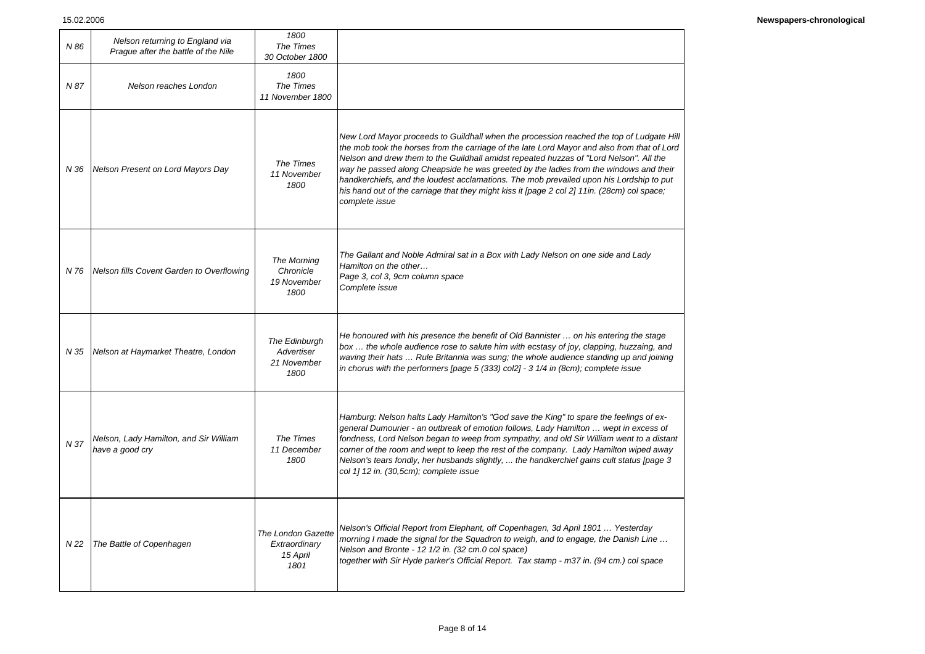| N 86 | Nelson returning to England via<br>Prague after the battle of the Nile | 1800<br>The Times<br>30 October 1800                    |                                                                                                                                                                                                                                                                                                                                                                                                                                                                                                                                                                                        |
|------|------------------------------------------------------------------------|---------------------------------------------------------|----------------------------------------------------------------------------------------------------------------------------------------------------------------------------------------------------------------------------------------------------------------------------------------------------------------------------------------------------------------------------------------------------------------------------------------------------------------------------------------------------------------------------------------------------------------------------------------|
| N 87 | Nelson reaches London                                                  | 1800<br>The Times<br>11 November 1800                   |                                                                                                                                                                                                                                                                                                                                                                                                                                                                                                                                                                                        |
| N 36 | Nelson Present on Lord Mayors Day                                      | The Times<br>11 November<br>1800                        | New Lord Mayor proceeds to Guildhall when the procession reached the top of Ludgate Hill<br>the mob took the horses from the carriage of the late Lord Mayor and also from that of Lord<br>Nelson and drew them to the Guildhall amidst repeated huzzas of "Lord Nelson". All the<br>way he passed along Cheapside he was greeted by the ladies from the windows and their<br>handkerchiefs, and the loudest acclamations. The mob prevailed upon his Lordship to put<br>his hand out of the carriage that they might kiss it [page 2 col 2] 11in. (28cm) col space;<br>complete issue |
| N 76 | Nelson fills Covent Garden to Overflowing                              | The Morning<br>Chronicle<br>19 November<br>1800         | The Gallant and Noble Admiral sat in a Box with Lady Nelson on one side and Lady<br>Hamilton on the other<br>Page 3, col 3, 9cm column space<br>Complete issue                                                                                                                                                                                                                                                                                                                                                                                                                         |
| N 35 | Nelson at Haymarket Theatre, London                                    | The Edinburgh<br>Advertiser<br>21 November<br>1800      | He honoured with his presence the benefit of Old Bannister  on his entering the stage<br>box  the whole audience rose to salute him with ecstasy of joy, clapping, huzzaing, and<br>waving their hats  Rule Britannia was sung; the whole audience standing up and joining<br>in chorus with the performers [page 5 (333) col2] - 3 $1/4$ in (8cm); complete issue                                                                                                                                                                                                                     |
| N 37 | Nelson, Lady Hamilton, and Sir William<br>have a good cry              | The Times<br>11 December<br>1800                        | Hamburg: Nelson halts Lady Hamilton's "God save the King" to spare the feelings of ex-<br>general Dumourier - an outbreak of emotion follows, Lady Hamilton  wept in excess of<br>fondness, Lord Nelson began to weep from sympathy, and old Sir William went to a distant<br>corner of the room and wept to keep the rest of the company. Lady Hamilton wiped away<br>Nelson's tears fondly, her husbands slightly,  the handkerchief gains cult status [page 3<br>col 1] 12 in. (30,5cm); complete issue                                                                             |
| N 22 | The Battle of Copenhagen                                               | The London Gazette<br>Extraordinary<br>15 April<br>1801 | Nelson's Official Report from Elephant, off Copenhagen, 3d April 1801  Yesterday<br>morning I made the signal for the Squadron to weigh, and to engage, the Danish Line<br>Nelson and Bronte - 12 1/2 in. (32 cm.0 col space)<br>together with Sir Hyde parker's Official Report. Tax stamp - m37 in. (94 cm.) col space                                                                                                                                                                                                                                                               |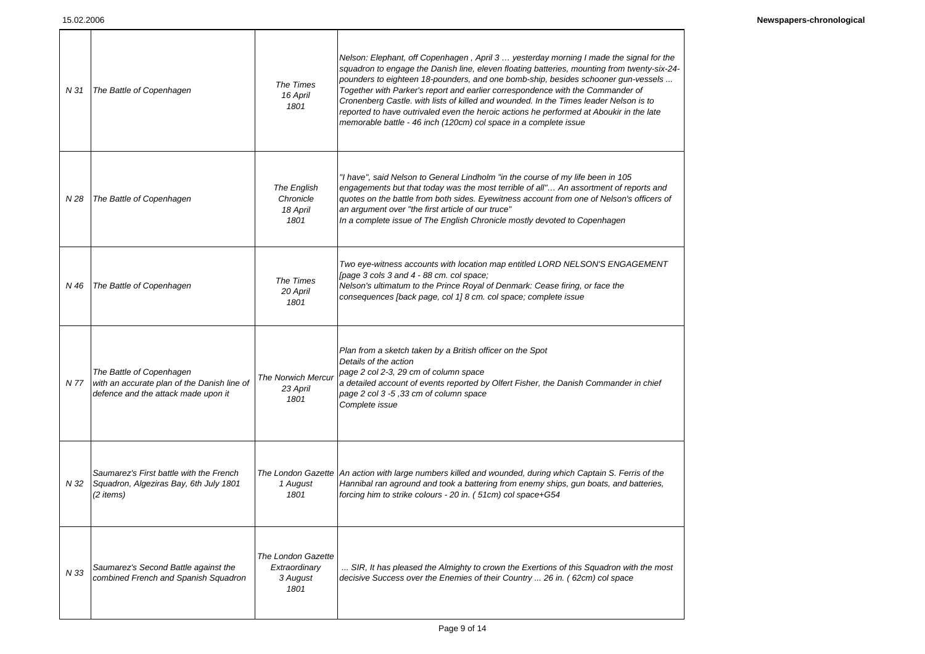| N 31 | The Battle of Copenhagen                                                                                       | The Times<br>16 April<br>1801                           | Nelson: Elephant, off Copenhagen, April 3  yesterday morning I made the signal for the<br>squadron to engage the Danish line, eleven floating batteries, mounting from twenty-six-24-<br>pounders to eighteen 18-pounders, and one bomb-ship, besides schooner gun-vessels<br>Together with Parker's report and earlier correspondence with the Commander of<br>Cronenberg Castle. with lists of killed and wounded. In the Times leader Nelson is to<br>reported to have outrivaled even the heroic actions he performed at Aboukir in the late<br>memorable battle - 46 inch (120cm) col space in a complete issue |
|------|----------------------------------------------------------------------------------------------------------------|---------------------------------------------------------|----------------------------------------------------------------------------------------------------------------------------------------------------------------------------------------------------------------------------------------------------------------------------------------------------------------------------------------------------------------------------------------------------------------------------------------------------------------------------------------------------------------------------------------------------------------------------------------------------------------------|
| N 28 | The Battle of Copenhagen                                                                                       | The English<br>Chronicle<br>18 April<br>1801            | "I have", said Nelson to General Lindholm "in the course of my life been in 105<br>engagements but that today was the most terrible of all" An assortment of reports and<br>quotes on the battle from both sides. Eyewitness account from one of Nelson's officers of<br>an argument over "the first article of our truce"<br>In a complete issue of The English Chronicle mostly devoted to Copenhagen                                                                                                                                                                                                              |
| N 46 | The Battle of Copenhagen                                                                                       | The Times<br>20 April<br>1801                           | Two eye-witness accounts with location map entitled LORD NELSON'S ENGAGEMENT<br>[page 3 cols 3 and 4 - 88 cm. col space;<br>Nelson's ultimatum to the Prince Royal of Denmark: Cease firing, or face the<br>consequences [back page, col 1] 8 cm. col space; complete issue                                                                                                                                                                                                                                                                                                                                          |
| N 77 | The Battle of Copenhagen<br>with an accurate plan of the Danish line of<br>defence and the attack made upon it | <b>The Norwich Mercur</b><br>23 April<br>1801           | Plan from a sketch taken by a British officer on the Spot<br>Details of the action<br>page 2 col 2-3, 29 cm of column space<br>a detailed account of events reported by Olfert Fisher, the Danish Commander in chief<br>page 2 col 3 -5,33 cm of column space<br>Complete issue                                                                                                                                                                                                                                                                                                                                      |
| N 32 | Saumarez's First battle with the French<br>Squadron, Algeziras Bay, 6th July 1801<br>(2 items)                 | 1 August<br>1801                                        | The London Gazette An action with large numbers killed and wounded, during which Captain S. Ferris of the<br>Hannibal ran aground and took a battering from enemy ships, gun boats, and batteries,<br>forcing him to strike colours - 20 in. (51cm) col space+G54                                                                                                                                                                                                                                                                                                                                                    |
| N 33 | Saumarez's Second Battle against the<br>combined French and Spanish Squadron                                   | The London Gazette<br>Extraordinary<br>3 August<br>1801 | SIR, It has pleased the Almighty to crown the Exertions of this Squadron with the most<br>decisive Success over the Enemies of their Country  26 in. (62cm) col space                                                                                                                                                                                                                                                                                                                                                                                                                                                |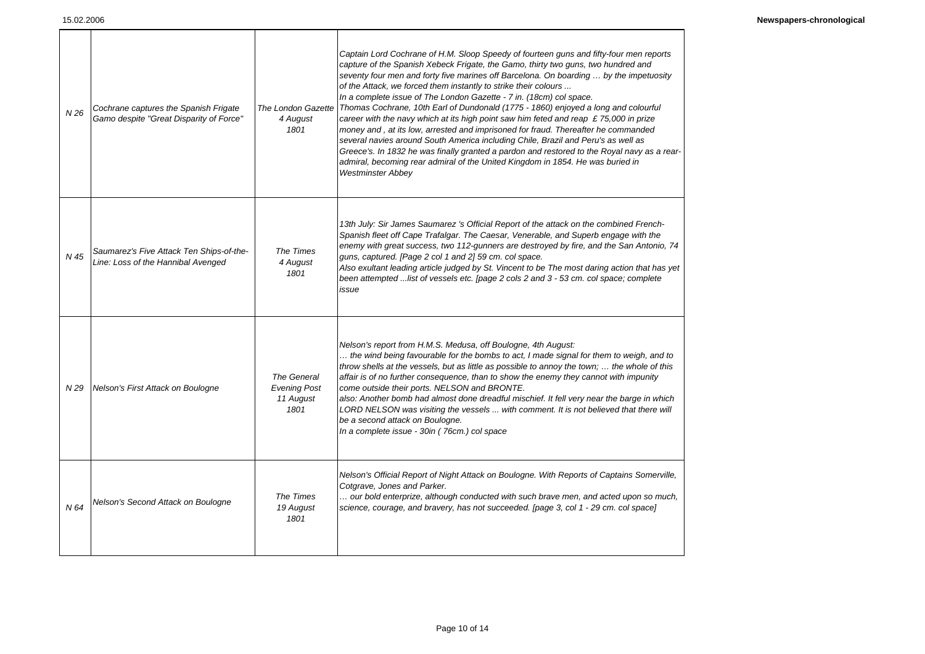Г

| N 26 | Cochrane captures the Spanish Frigate<br>Gamo despite "Great Disparity of Force" | The London Gazette<br>4 August<br>1801                  | Captain Lord Cochrane of H.M. Sloop Speedy of fourteen guns and fifty-four men reports<br>capture of the Spanish Xebeck Frigate, the Gamo, thirty two guns, two hundred and<br>seventy four men and forty five marines off Barcelona. On boarding  by the impetuosity<br>of the Attack, we forced them instantly to strike their colours<br>In a complete issue of The London Gazette - 7 in. (18cm) col space.<br>Thomas Cochrane, 10th Earl of Dundonald (1775 - 1860) enjoyed a long and colourful<br>career with the navy which at its high point saw him feted and reap £75,000 in prize<br>money and, at its low, arrested and imprisoned for fraud. Thereafter he commanded<br>several navies around South America including Chile, Brazil and Peru's as well as<br>Greece's. In 1832 he was finally granted a pardon and restored to the Royal navy as a rear-<br>admiral, becoming rear admiral of the United Kingdom in 1854. He was buried in<br><b>Westminster Abbey</b> |
|------|----------------------------------------------------------------------------------|---------------------------------------------------------|--------------------------------------------------------------------------------------------------------------------------------------------------------------------------------------------------------------------------------------------------------------------------------------------------------------------------------------------------------------------------------------------------------------------------------------------------------------------------------------------------------------------------------------------------------------------------------------------------------------------------------------------------------------------------------------------------------------------------------------------------------------------------------------------------------------------------------------------------------------------------------------------------------------------------------------------------------------------------------------|
| N 45 | Saumarez's Five Attack Ten Ships-of-the-<br>Line: Loss of the Hannibal Avenged   | The Times<br>4 August<br>1801                           | 13th July: Sir James Saumarez 's Official Report of the attack on the combined French-<br>Spanish fleet off Cape Trafalgar. The Caesar, Venerable, and Superb engage with the<br>enemy with great success, two 112-gunners are destroyed by fire, and the San Antonio, 74<br>guns, captured. [Page 2 col 1 and 2] 59 cm. col space.<br>Also exultant leading article judged by St. Vincent to be The most daring action that has yet<br>been attempted list of vessels etc. [page 2 cols 2 and 3 - 53 cm. col space; complete<br>issue                                                                                                                                                                                                                                                                                                                                                                                                                                               |
| N 29 | Nelson's First Attack on Boulogne                                                | The General<br><b>Evening Post</b><br>11 August<br>1801 | Nelson's report from H.M.S. Medusa, off Boulogne, 4th August:<br>the wind being favourable for the bombs to act, I made signal for them to weigh, and to<br>throw shells at the vessels, but as little as possible to annoy the town; $\ldots$ the whole of this<br>affair is of no further consequence, than to show the enemy they cannot with impunity<br>come outside their ports. NELSON and BRONTE.<br>also: Another bomb had almost done dreadful mischief. It fell very near the barge in which<br>LORD NELSON was visiting the vessels  with comment. It is not believed that there will<br>be a second attack on Boulogne.<br>In a complete issue - 30in (76cm.) col space                                                                                                                                                                                                                                                                                                 |
| N 64 | Nelson's Second Attack on Boulogne                                               | The Times<br>19 August<br>1801                          | Nelson's Official Report of Night Attack on Boulogne. With Reports of Captains Somerville,<br>Cotgrave, Jones and Parker.<br>our bold enterprize, although conducted with such brave men, and acted upon so much,<br>science, courage, and bravery, has not succeeded. [page 3, col 1 - 29 cm. col space]                                                                                                                                                                                                                                                                                                                                                                                                                                                                                                                                                                                                                                                                            |

Т

 $\mathbf{I}$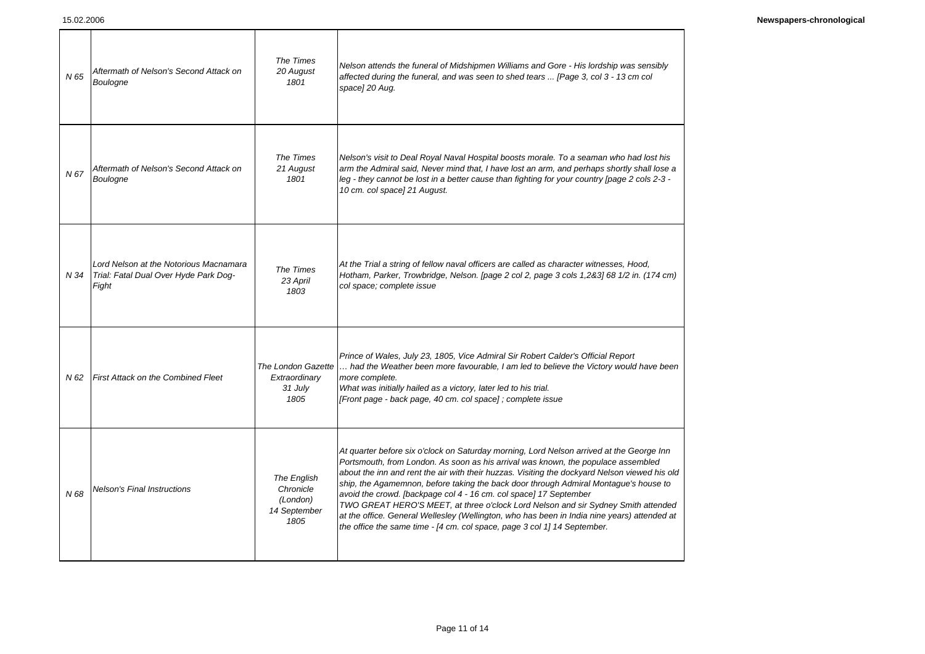| N 65 | Aftermath of Nelson's Second Attack on<br>Boulogne                                              | The Times<br>20 August<br>1801                               | Nelson attends the funeral of Midshipmen Williams and Gore - His lordship was sensibly<br>affected during the funeral, and was seen to shed tears  [Page 3, col 3 - 13 cm col<br>space] 20 Aug.                                                                                                                                                                                                                                                                                                                                                                                                                                                                                                             |
|------|-------------------------------------------------------------------------------------------------|--------------------------------------------------------------|-------------------------------------------------------------------------------------------------------------------------------------------------------------------------------------------------------------------------------------------------------------------------------------------------------------------------------------------------------------------------------------------------------------------------------------------------------------------------------------------------------------------------------------------------------------------------------------------------------------------------------------------------------------------------------------------------------------|
| N 67 | Aftermath of Nelson's Second Attack on<br>Boulogne                                              | The Times<br>21 August<br>1801                               | Nelson's visit to Deal Royal Naval Hospital boosts morale. To a seaman who had lost his<br>arm the Admiral said, Never mind that, I have lost an arm, and perhaps shortly shall lose a<br>leg - they cannot be lost in a better cause than fighting for your country [page 2 cols 2-3 -<br>10 cm. col space] 21 August.                                                                                                                                                                                                                                                                                                                                                                                     |
|      | Lord Nelson at the Notorious Macnamara<br>N 34   Trial: Fatal Dual Over Hyde Park Dog-<br>Fight | The Times<br>23 April<br>1803                                | At the Trial a string of fellow naval officers are called as character witnesses, Hood,<br>Hotham, Parker, Trowbridge, Nelson. [page 2 col 2, page 3 cols 1,2&3] 68 1/2 in. (174 cm)<br>col space; complete issue                                                                                                                                                                                                                                                                                                                                                                                                                                                                                           |
| N 62 | <b>First Attack on the Combined Fleet</b>                                                       | The London Gazette<br>Extraordinary<br>31 July<br>1805       | Prince of Wales, July 23, 1805, Vice Admiral Sir Robert Calder's Official Report<br>had the Weather been more favourable, I am led to believe the Victory would have been<br>more complete.<br>What was initially hailed as a victory, later led to his trial.<br>[Front page - back page, 40 cm. col space]; complete issue                                                                                                                                                                                                                                                                                                                                                                                |
| N 68 | <b>Nelson's Final Instructions</b>                                                              | The English<br>Chronicle<br>(London)<br>14 September<br>1805 | At quarter before six o'clock on Saturday morning, Lord Nelson arrived at the George Inn<br>Portsmouth, from London. As soon as his arrival was known, the populace assembled<br>about the inn and rent the air with their huzzas. Visiting the dockyard Nelson viewed his old<br>ship, the Agamemnon, before taking the back door through Admiral Montague's house to<br>avoid the crowd. [backpage col 4 - 16 cm. col space] 17 September<br>TWO GREAT HERO'S MEET, at three o'clock Lord Nelson and sir Sydney Smith attended<br>at the office. General Wellesley (Wellington, who has been in India nine years) attended at<br>the office the same time - [4 cm. col space, page 3 col 1] 14 September. |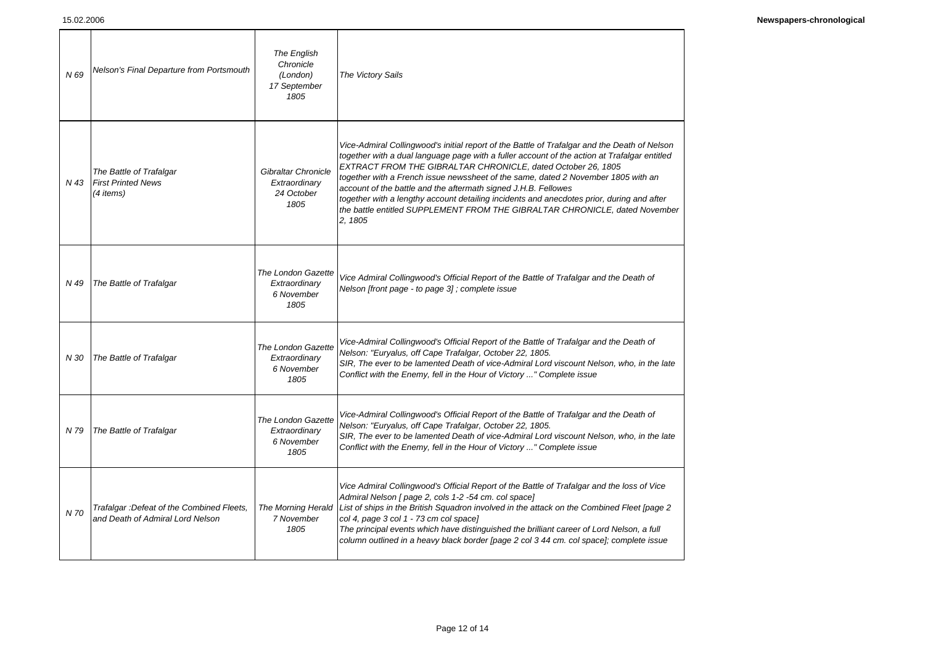| N 69 | Nelson's Final Departure from Portsmouth                                       | The English<br>Chronicle<br>(London)<br>17 September<br>1805 | The Victory Sails                                                                                                                                                                                                                                                                                                                                                                                                                                                                                                                                                                                          |
|------|--------------------------------------------------------------------------------|--------------------------------------------------------------|------------------------------------------------------------------------------------------------------------------------------------------------------------------------------------------------------------------------------------------------------------------------------------------------------------------------------------------------------------------------------------------------------------------------------------------------------------------------------------------------------------------------------------------------------------------------------------------------------------|
| N 43 | The Battle of Trafalgar<br><b>First Printed News</b><br>$(4$ items)            | Gibraltar Chronicle<br>Extraordinary<br>24 October<br>1805   | Vice-Admiral Collingwood's initial report of the Battle of Trafalgar and the Death of Nelson<br>together with a dual language page with a fuller account of the action at Trafalgar entitled<br>EXTRACT FROM THE GIBRALTAR CHRONICLE, dated October 26, 1805<br>together with a French issue newssheet of the same, dated 2 November 1805 with an<br>account of the battle and the aftermath signed J.H.B. Fellowes<br>together with a lengthy account detailing incidents and anecdotes prior, during and after<br>the battle entitled SUPPLEMENT FROM THE GIBRALTAR CHRONICLE, dated November<br>2, 1805 |
| N 49 | The Battle of Trafalgar                                                        | The London Gazette<br>Extraordinary<br>6 November<br>1805    | Vice Admiral Collingwood's Official Report of the Battle of Trafalgar and the Death of<br>Nelson [front page - to page 3]; complete issue                                                                                                                                                                                                                                                                                                                                                                                                                                                                  |
| N 30 | The Battle of Trafalgar                                                        | The London Gazette<br>Extraordinary<br>6 November<br>1805    | Vice-Admiral Collingwood's Official Report of the Battle of Trafalgar and the Death of<br>Nelson: "Euryalus, off Cape Trafalgar, October 22, 1805.<br>SIR, The ever to be lamented Death of vice-Admiral Lord viscount Nelson, who, in the late<br>Conflict with the Enemy, fell in the Hour of Victory " Complete issue                                                                                                                                                                                                                                                                                   |
| N 79 | The Battle of Trafalgar                                                        | The London Gazette<br>Extraordinary<br>6 November<br>1805    | Vice-Admiral Collingwood's Official Report of the Battle of Trafalgar and the Death of<br>Nelson: "Euryalus, off Cape Trafalgar, October 22, 1805.<br>SIR, The ever to be lamented Death of vice-Admiral Lord viscount Nelson, who, in the late<br>Conflict with the Enemy, fell in the Hour of Victory " Complete issue                                                                                                                                                                                                                                                                                   |
| N 70 | Trafalgar : Defeat of the Combined Fleets,<br>and Death of Admiral Lord Nelson | The Morning Herald<br>7 November<br>1805                     | Vice Admiral Collingwood's Official Report of the Battle of Trafalgar and the loss of Vice<br>Admiral Nelson [ page 2, cols 1-2 -54 cm. col space]<br>List of ships in the British Squadron involved in the attack on the Combined Fleet [page 2<br>col 4, page 3 col 1 - 73 cm col space]<br>The principal events which have distinguished the brilliant career of Lord Nelson, a full<br>column outlined in a heavy black border [page 2 col 3 44 cm. col space]; complete issue                                                                                                                         |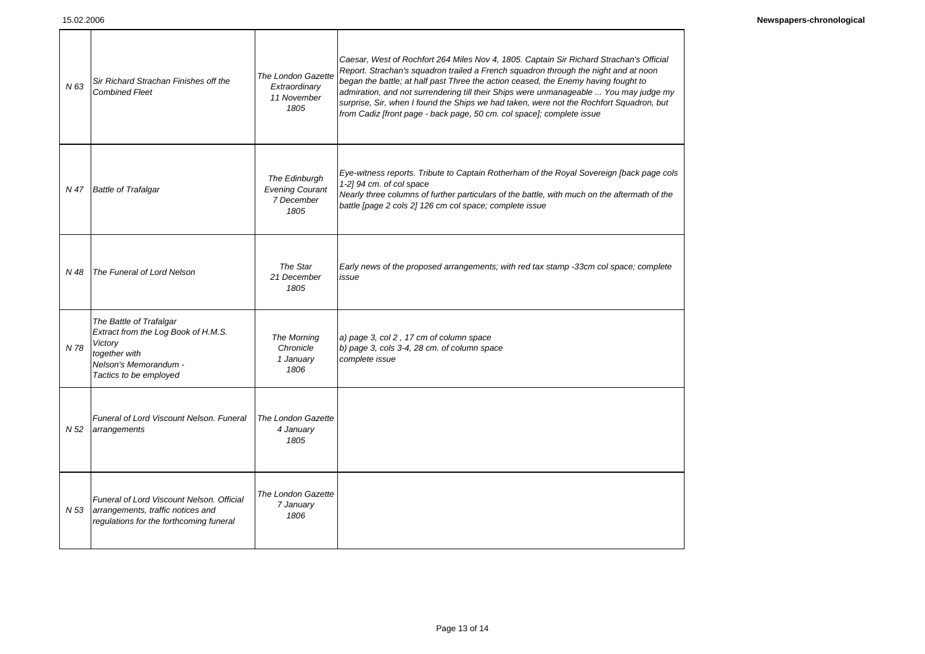| N 63 | Sir Richard Strachan Finishes off the<br><b>Combined Fleet</b>                                                                                | The London Gazette<br>Extraordinary<br>11 November<br>1805    | Caesar, West of Rochfort 264 Miles Nov 4, 1805. Captain Sir Richard Strachan's Official<br>Report. Strachan's squadron trailed a French squadron through the night and at noon<br>began the battle; at half past Three the action ceased, the Enemy having fought to<br>admiration, and not surrendering till their Ships were unmanageable  You may judge my<br>surprise, Sir, when I found the Ships we had taken, were not the Rochfort Squadron, but<br>from Cadiz [front page - back page, 50 cm. col space]; complete issue |
|------|-----------------------------------------------------------------------------------------------------------------------------------------------|---------------------------------------------------------------|-----------------------------------------------------------------------------------------------------------------------------------------------------------------------------------------------------------------------------------------------------------------------------------------------------------------------------------------------------------------------------------------------------------------------------------------------------------------------------------------------------------------------------------|
| N 47 | <b>Battle of Trafalgar</b>                                                                                                                    | The Edinburgh<br><b>Evening Courant</b><br>7 December<br>1805 | Eye-witness reports. Tribute to Captain Rotherham of the Royal Sovereign [back page cols<br>1-2] 94 cm. of col space<br>Nearly three columns of further particulars of the battle, with much on the aftermath of the<br>battle [page 2 cols 2] 126 cm col space; complete issue                                                                                                                                                                                                                                                   |
| N 48 | The Funeral of Lord Nelson                                                                                                                    | The Star<br>21 December<br>1805                               | Early news of the proposed arrangements; with red tax stamp -33cm col space; complete<br>issue                                                                                                                                                                                                                                                                                                                                                                                                                                    |
| N 78 | The Battle of Trafalgar<br>Extract from the Log Book of H.M.S.<br>Victory<br>together with<br>Nelson's Memorandum -<br>Tactics to be employed | The Morning<br>Chronicle<br>1 January<br>1806                 | a) page 3, col 2, 17 cm of column space<br>b) page 3, cols 3-4, 28 cm. of column space<br>complete issue                                                                                                                                                                                                                                                                                                                                                                                                                          |
| N 52 | Funeral of Lord Viscount Nelson. Funeral<br>arrangements                                                                                      | The London Gazette<br>4 January<br>1805                       |                                                                                                                                                                                                                                                                                                                                                                                                                                                                                                                                   |
| N 53 | Funeral of Lord Viscount Nelson, Official<br>arrangements, traffic notices and<br>regulations for the forthcoming funeral                     | The London Gazette<br>7 January<br>1806                       |                                                                                                                                                                                                                                                                                                                                                                                                                                                                                                                                   |